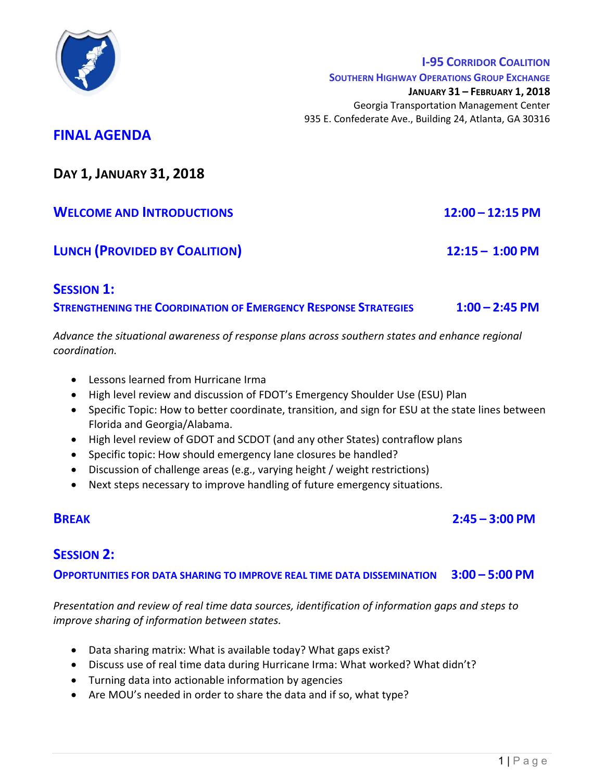

SOUTHERN HIGHWAY OPERATIONS GROUP EXCHANGE

JANUARY 31 – FEBRUARY 1, 2018

Georgia Transportation Management Center 935 E. Confederate Ave., Building 24, Atlanta, GA 30316

# FINAL AGENDA

DAY 1, JANUARY 31, 2018

WELCOME AND INTRODUCTIONS 12:00 – 12:15 PM

LUNCH (PROVIDED BY COALITION) 12:15 - 1:00 PM

**SESSION 1:** STRENGTHENING THE COORDINATION OF EMERGENCY RESPONSE STRATEGIES  $1:00 - 2:45$  PM

Advance the situational awareness of response plans across southern states and enhance regional coordination.

- Lessons learned from Hurricane Irma
- High level review and discussion of FDOT's Emergency Shoulder Use (ESU) Plan
- Specific Topic: How to better coordinate, transition, and sign for ESU at the state lines between Florida and Georgia/Alabama.
- High level review of GDOT and SCDOT (and any other States) contraflow plans
- Specific topic: How should emergency lane closures be handled?
- Discussion of challenge areas (e.g., varying height / weight restrictions)
- Next steps necessary to improve handling of future emergency situations.

## BREAK 2:45 – 3:00 PM

#### SESSION<sub>2:</sub> ľ

OPPORTUNITIES FOR DATA SHARING TO IMPROVE REAL TIME DATA DISSEMINATION 3:00 – 5:00 PM

Presentation and review of real time data sources, identification of information gaps and steps to improve sharing of information between states.

- Data sharing matrix: What is available today? What gaps exist?
- Discuss use of real time data during Hurricane Irma: What worked? What didn't?
- Turning data into actionable information by agencies
- Are MOU's needed in order to share the data and if so, what type?